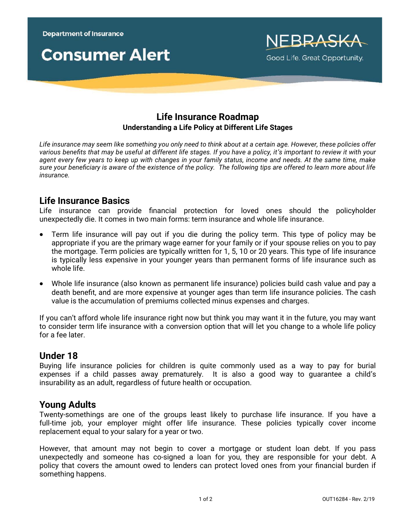



## **Life Insurance Roadmap Understanding a Life Policy at Different Life Stages**

*Life insurance may seem like something you only need to think about at a certain age. However, these policies offer various benefits that may be useful at different life stages. If you have a policy, it's important to review it with your agent every few years to keep up with changes in your family status, income and needs. At the same time, make sure your beneficiary is aware of the existence of the policy. The following tips are offered to learn more about life insurance.*

## **Life Insurance Basics**

Life insurance can provide financial protection for loved ones should the policyholder unexpectedly die. It comes in two main forms: term insurance and whole life insurance.

- Term life insurance will pay out if you die during the policy term. This type of policy may be appropriate if you are the primary wage earner for your family or if your spouse relies on you to pay the mortgage. Term policies are typically written for 1, 5, 10 or 20 years. This type of life insurance is typically less expensive in your younger years than permanent forms of life insurance such as whole life.
- Whole life insurance (also known as permanent life insurance) policies build cash value and pay a death benefit, and are more expensive at younger ages than term life insurance policies. The cash value is the accumulation of premiums collected minus expenses and charges.

If you can't afford whole life insurance right now but think you may want it in the future, you may want to consider term life insurance with a conversion option that will let you change to a whole life policy for a fee later.

## **Under 18**

Buying life insurance policies for children is quite commonly used as a way to pay for burial expenses if a child passes away prematurely. It is also a good way to guarantee a child's insurability as an adult, regardless of future health or occupation.

# **Young Adults**

Twenty-somethings are one of the groups least likely to purchase life insurance. If you have a full-time iob, your employer might offer life insurance. These policies typically cover income replacement equal to your salary for a year or two.

However, that amount may not begin to cover a mortgage or student loan debt. If you pass unexpectedly and someone has co-signed a loan for you, they are responsible for your debt. A policy that covers the amount owed to lenders can protect loved ones from your financial burden if something happens.